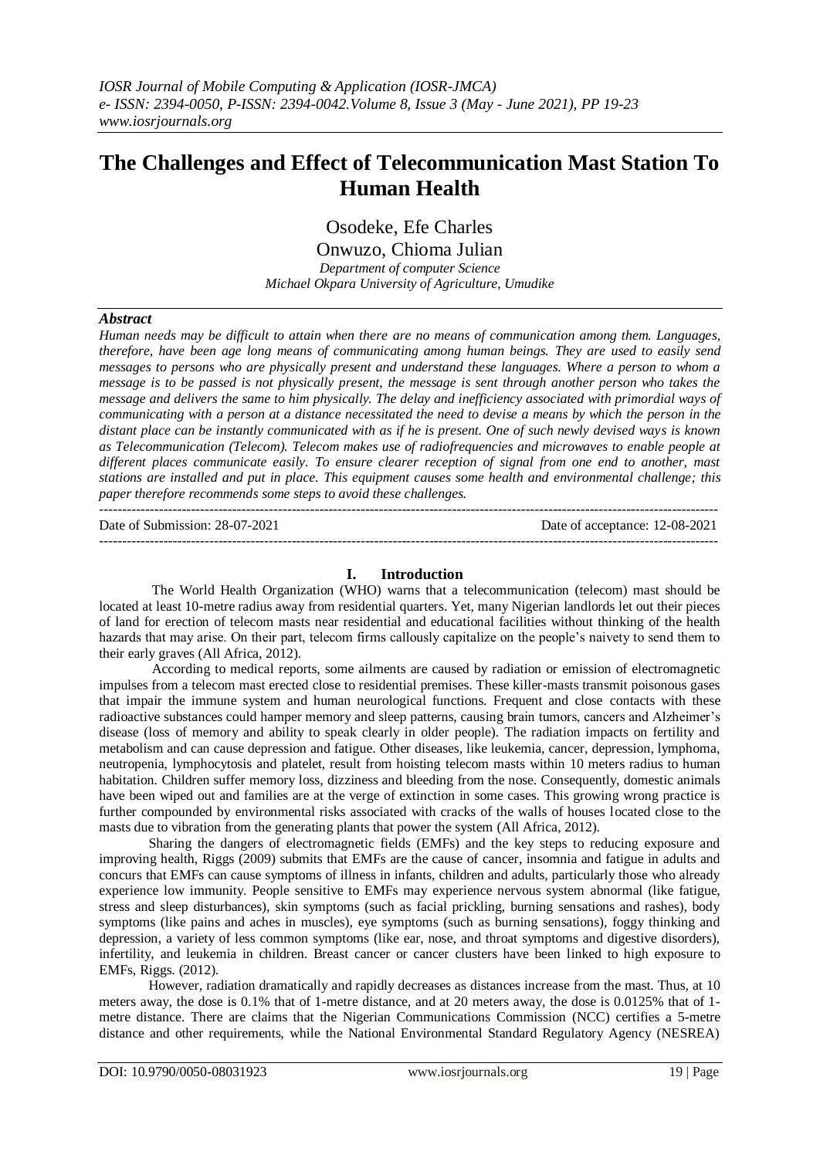# **The Challenges and Effect of Telecommunication Mast Station To Human Health**

Osodeke, Efe Charles

Onwuzo, Chioma Julian

*Department of computer Science Michael Okpara University of Agriculture, Umudike*

## *Abstract*

*Human needs may be difficult to attain when there are no means of communication among them. Languages, therefore, have been age long means of communicating among human beings. They are used to easily send messages to persons who are physically present and understand these languages. Where a person to whom a message is to be passed is not physically present, the message is sent through another person who takes the message and delivers the same to him physically. The delay and inefficiency associated with primordial ways of communicating with a person at a distance necessitated the need to devise a means by which the person in the distant place can be instantly communicated with as if he is present. One of such newly devised ways is known as Telecommunication (Telecom). Telecom makes use of radiofrequencies and microwaves to enable people at different places communicate easily. To ensure clearer reception of signal from one end to another, mast stations are installed and put in place. This equipment causes some health and environmental challenge; this paper therefore recommends some steps to avoid these challenges.*

 $-1\leq i\leq n-1$ 

Date of Submission: 28-07-2021 Date of acceptance: 12-08-2021 ---------------------------------------------------------------------------------------------------------------------------------------

## **I. Introduction**

The World Health Organization (WHO) warns that a telecommunication (telecom) mast should be located at least 10-metre radius away from residential quarters. Yet, many Nigerian landlords let out their pieces of land for erection of telecom masts near residential and educational facilities without thinking of the health hazards that may arise. On their part, telecom firms callously capitalize on the people's naivety to send them to their early graves (All Africa, 2012).

According to medical reports, some ailments are caused by radiation or emission of electromagnetic impulses from a telecom mast erected close to residential premises. These killer-masts transmit poisonous gases that impair the immune system and human neurological functions. Frequent and close contacts with these radioactive substances could hamper memory and sleep patterns, causing brain tumors, cancers and Alzheimer's disease (loss of memory and ability to speak clearly in older people). The radiation impacts on fertility and metabolism and can cause depression and fatigue. Other diseases, like leukemia, cancer, depression, lymphoma, neutropenia, lymphocytosis and platelet, result from hoisting telecom masts within 10 meters radius to human habitation. Children suffer memory loss, dizziness and bleeding from the nose. Consequently, domestic animals have been wiped out and families are at the verge of extinction in some cases. This growing wrong practice is further compounded by environmental risks associated with cracks of the walls of houses located close to the masts due to vibration from the generating plants that power the system (All Africa, 2012).

Sharing the dangers of electromagnetic fields (EMFs) and the key steps to reducing exposure and improving health, Riggs (2009) submits that EMFs are the cause of cancer, insomnia and fatigue in adults and concurs that EMFs can cause symptoms of illness in infants, children and adults, particularly those who already experience low immunity. People sensitive to EMFs may experience nervous system abnormal (like fatigue, stress and sleep disturbances), skin symptoms (such as facial prickling, burning sensations and rashes), body symptoms (like pains and aches in muscles), eye symptoms (such as burning sensations), foggy thinking and depression, a variety of less common symptoms (like ear, nose, and throat symptoms and digestive disorders), infertility, and leukemia in children. Breast cancer or cancer clusters have been linked to high exposure to EMFs, Riggs. (2012).

However, radiation dramatically and rapidly decreases as distances increase from the mast. Thus, at 10 meters away, the dose is 0.1% that of 1-metre distance, and at 20 meters away, the dose is 0.0125% that of 1 metre distance. There are claims that the Nigerian Communications Commission (NCC) certifies a 5-metre distance and other requirements, while the National Environmental Standard Regulatory Agency (NESREA)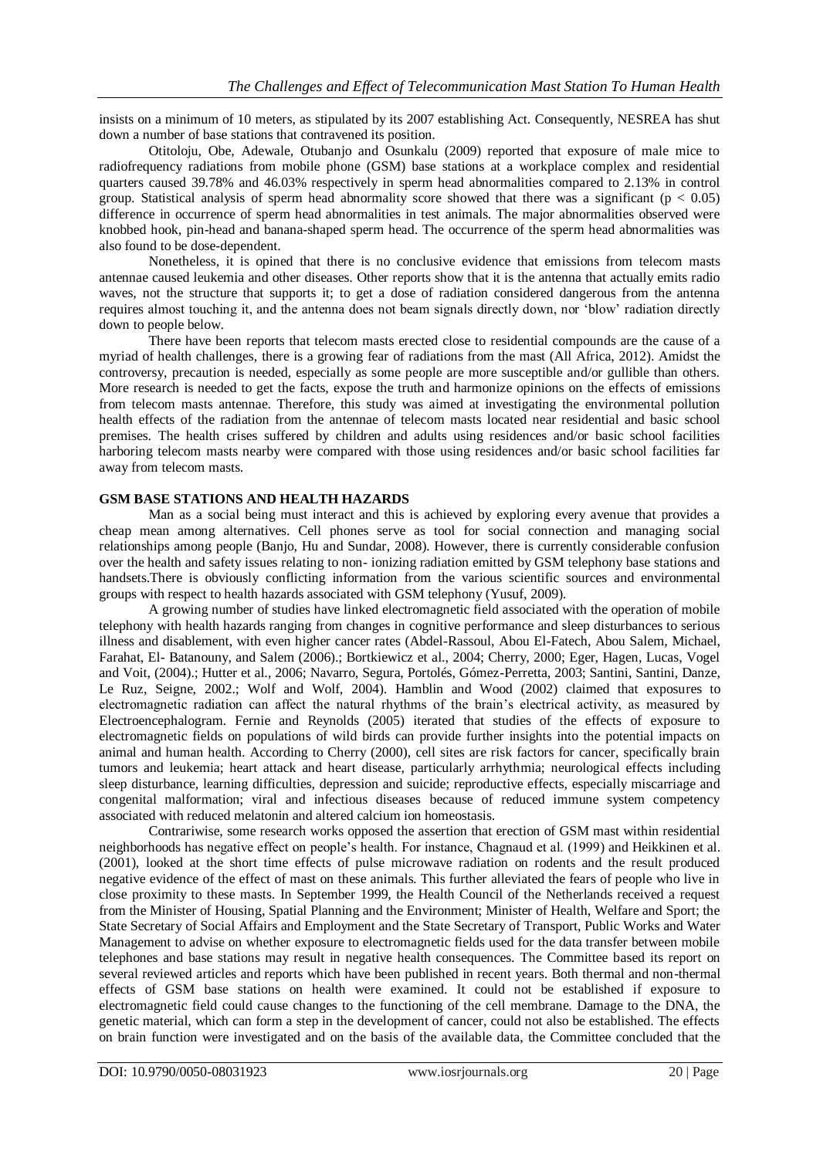insists on a minimum of 10 meters, as stipulated by its 2007 establishing Act. Consequently, NESREA has shut down a number of base stations that contravened its position.

Otitoloju, Obe, Adewale, Otubanjo and Osunkalu (2009) reported that exposure of male mice to radiofrequency radiations from mobile phone (GSM) base stations at a workplace complex and residential quarters caused 39.78% and 46.03% respectively in sperm head abnormalities compared to 2.13% in control group. Statistical analysis of sperm head abnormality score showed that there was a significant ( $p < 0.05$ ) difference in occurrence of sperm head abnormalities in test animals. The major abnormalities observed were knobbed hook, pin-head and banana-shaped sperm head. The occurrence of the sperm head abnormalities was also found to be dose-dependent.

Nonetheless, it is opined that there is no conclusive evidence that emissions from telecom masts antennae caused leukemia and other diseases. Other reports show that it is the antenna that actually emits radio waves, not the structure that supports it; to get a dose of radiation considered dangerous from the antenna requires almost touching it, and the antenna does not beam signals directly down, nor 'blow' radiation directly down to people below.

There have been reports that telecom masts erected close to residential compounds are the cause of a myriad of health challenges, there is a growing fear of radiations from the mast (All Africa, 2012). Amidst the controversy, precaution is needed, especially as some people are more susceptible and/or gullible than others. More research is needed to get the facts, expose the truth and harmonize opinions on the effects of emissions from telecom masts antennae. Therefore, this study was aimed at investigating the environmental pollution health effects of the radiation from the antennae of telecom masts located near residential and basic school premises. The health crises suffered by children and adults using residences and/or basic school facilities harboring telecom masts nearby were compared with those using residences and/or basic school facilities far away from telecom masts.

#### **GSM BASE STATIONS AND HEALTH HAZARDS**

Man as a social being must interact and this is achieved by exploring every avenue that provides a cheap mean among alternatives. Cell phones serve as tool for social connection and managing social relationships among people (Banjo, Hu and Sundar, 2008). However, there is currently considerable confusion over the health and safety issues relating to non- ionizing radiation emitted by GSM telephony base stations and handsets.There is obviously conflicting information from the various scientific sources and environmental groups with respect to health hazards associated with GSM telephony (Yusuf, 2009).

A growing number of studies have linked electromagnetic field associated with the operation of mobile telephony with health hazards ranging from changes in cognitive performance and sleep disturbances to serious illness and disablement, with even higher cancer rates (Abdel-Rassoul, Abou El-Fatech, Abou Salem, Michael, Farahat, El- Batanouny, and Salem (2006).; Bortkiewicz et al., 2004; Cherry, 2000; Eger, Hagen, Lucas, Vogel and Voit, (2004).; Hutter et al., 2006; Navarro, Segura, Portolés, Gómez-Perretta, 2003; Santini, Santini, Danze, Le Ruz, Seigne, 2002.; Wolf and Wolf, 2004). Hamblin and Wood (2002) claimed that exposures to electromagnetic radiation can affect the natural rhythms of the brain's electrical activity, as measured by Electroencephalogram. Fernie and Reynolds (2005) iterated that studies of the effects of exposure to electromagnetic fields on populations of wild birds can provide further insights into the potential impacts on animal and human health. According to Cherry (2000), cell sites are risk factors for cancer, specifically brain tumors and leukemia; heart attack and heart disease, particularly arrhythmia; neurological effects including sleep disturbance, learning difficulties, depression and suicide; reproductive effects, especially miscarriage and congenital malformation; viral and infectious diseases because of reduced immune system competency associated with reduced melatonin and altered calcium ion homeostasis.

Contrariwise, some research works opposed the assertion that erection of GSM mast within residential neighborhoods has negative effect on people's health. For instance, Chagnaud et al. (1999) and Heikkinen et al. (2001), looked at the short time effects of pulse microwave radiation on rodents and the result produced negative evidence of the effect of mast on these animals. This further alleviated the fears of people who live in close proximity to these masts. In September 1999, the Health Council of the Netherlands received a request from the Minister of Housing, Spatial Planning and the Environment; Minister of Health, Welfare and Sport; the State Secretary of Social Affairs and Employment and the State Secretary of Transport, Public Works and Water Management to advise on whether exposure to electromagnetic fields used for the data transfer between mobile telephones and base stations may result in negative health consequences. The Committee based its report on several reviewed articles and reports which have been published in recent years. Both thermal and non-thermal effects of GSM base stations on health were examined. It could not be established if exposure to electromagnetic field could cause changes to the functioning of the cell membrane. Damage to the DNA, the genetic material, which can form a step in the development of cancer, could not also be established. The effects on brain function were investigated and on the basis of the available data, the Committee concluded that the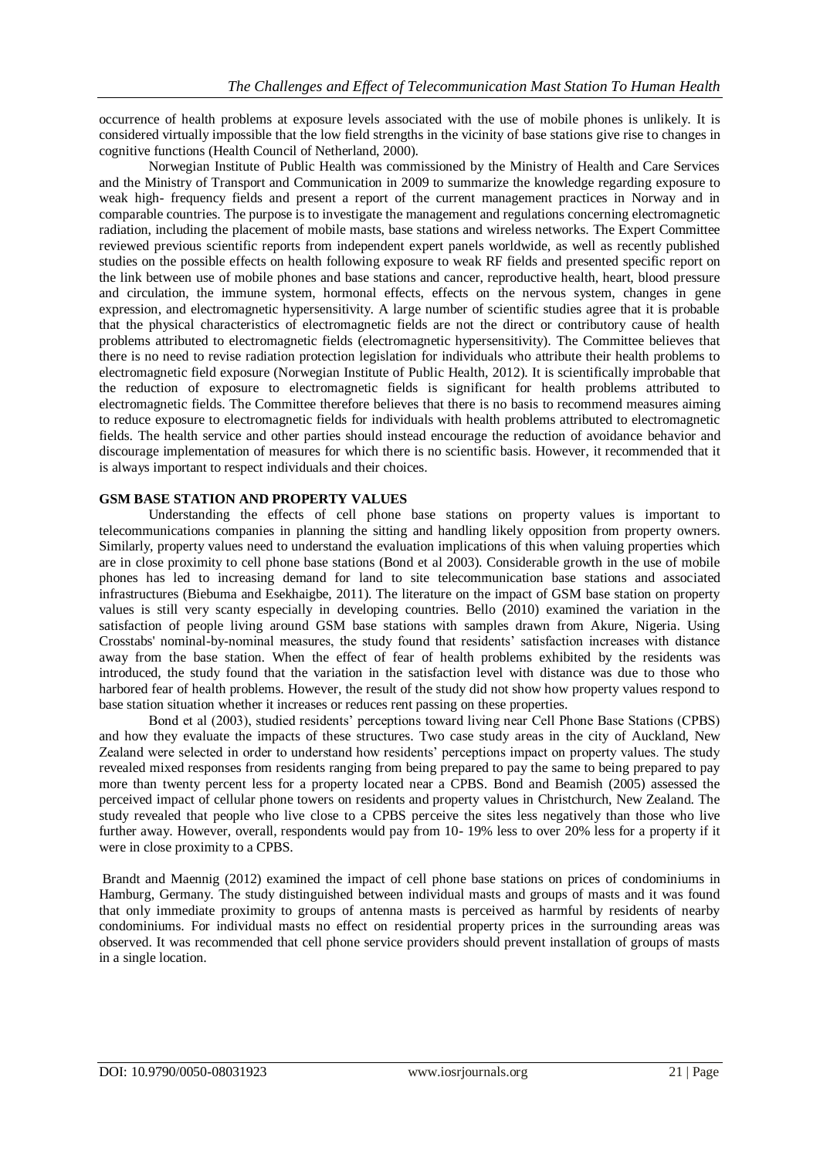occurrence of health problems at exposure levels associated with the use of mobile phones is unlikely. It is considered virtually impossible that the low field strengths in the vicinity of base stations give rise to changes in cognitive functions (Health Council of Netherland, 2000).

Norwegian Institute of Public Health was commissioned by the Ministry of Health and Care Services and the Ministry of Transport and Communication in 2009 to summarize the knowledge regarding exposure to weak high- frequency fields and present a report of the current management practices in Norway and in comparable countries. The purpose is to investigate the management and regulations concerning electromagnetic radiation, including the placement of mobile masts, base stations and wireless networks. The Expert Committee reviewed previous scientific reports from independent expert panels worldwide, as well as recently published studies on the possible effects on health following exposure to weak RF fields and presented specific report on the link between use of mobile phones and base stations and cancer, reproductive health, heart, blood pressure and circulation, the immune system, hormonal effects, effects on the nervous system, changes in gene expression, and electromagnetic hypersensitivity. A large number of scientific studies agree that it is probable that the physical characteristics of electromagnetic fields are not the direct or contributory cause of health problems attributed to electromagnetic fields (electromagnetic hypersensitivity). The Committee believes that there is no need to revise radiation protection legislation for individuals who attribute their health problems to electromagnetic field exposure (Norwegian Institute of Public Health, 2012). It is scientifically improbable that the reduction of exposure to electromagnetic fields is significant for health problems attributed to electromagnetic fields. The Committee therefore believes that there is no basis to recommend measures aiming to reduce exposure to electromagnetic fields for individuals with health problems attributed to electromagnetic fields. The health service and other parties should instead encourage the reduction of avoidance behavior and discourage implementation of measures for which there is no scientific basis. However, it recommended that it is always important to respect individuals and their choices.

# **GSM BASE STATION AND PROPERTY VALUES**

Understanding the effects of cell phone base stations on property values is important to telecommunications companies in planning the sitting and handling likely opposition from property owners. Similarly, property values need to understand the evaluation implications of this when valuing properties which are in close proximity to cell phone base stations (Bond et al 2003). Considerable growth in the use of mobile phones has led to increasing demand for land to site telecommunication base stations and associated infrastructures (Biebuma and Esekhaigbe, 2011). The literature on the impact of GSM base station on property values is still very scanty especially in developing countries. Bello (2010) examined the variation in the satisfaction of people living around GSM base stations with samples drawn from Akure, Nigeria. Using Crosstabs' nominal-by-nominal measures, the study found that residents' satisfaction increases with distance away from the base station. When the effect of fear of health problems exhibited by the residents was introduced, the study found that the variation in the satisfaction level with distance was due to those who harbored fear of health problems. However, the result of the study did not show how property values respond to base station situation whether it increases or reduces rent passing on these properties.

Bond et al (2003), studied residents' perceptions toward living near Cell Phone Base Stations (CPBS) and how they evaluate the impacts of these structures. Two case study areas in the city of Auckland, New Zealand were selected in order to understand how residents' perceptions impact on property values. The study revealed mixed responses from residents ranging from being prepared to pay the same to being prepared to pay more than twenty percent less for a property located near a CPBS. Bond and Beamish (2005) assessed the perceived impact of cellular phone towers on residents and property values in Christchurch, New Zealand. The study revealed that people who live close to a CPBS perceive the sites less negatively than those who live further away. However, overall, respondents would pay from 10- 19% less to over 20% less for a property if it were in close proximity to a CPBS.

Brandt and Maennig (2012) examined the impact of cell phone base stations on prices of condominiums in Hamburg, Germany. The study distinguished between individual masts and groups of masts and it was found that only immediate proximity to groups of antenna masts is perceived as harmful by residents of nearby condominiums. For individual masts no effect on residential property prices in the surrounding areas was observed. It was recommended that cell phone service providers should prevent installation of groups of masts in a single location.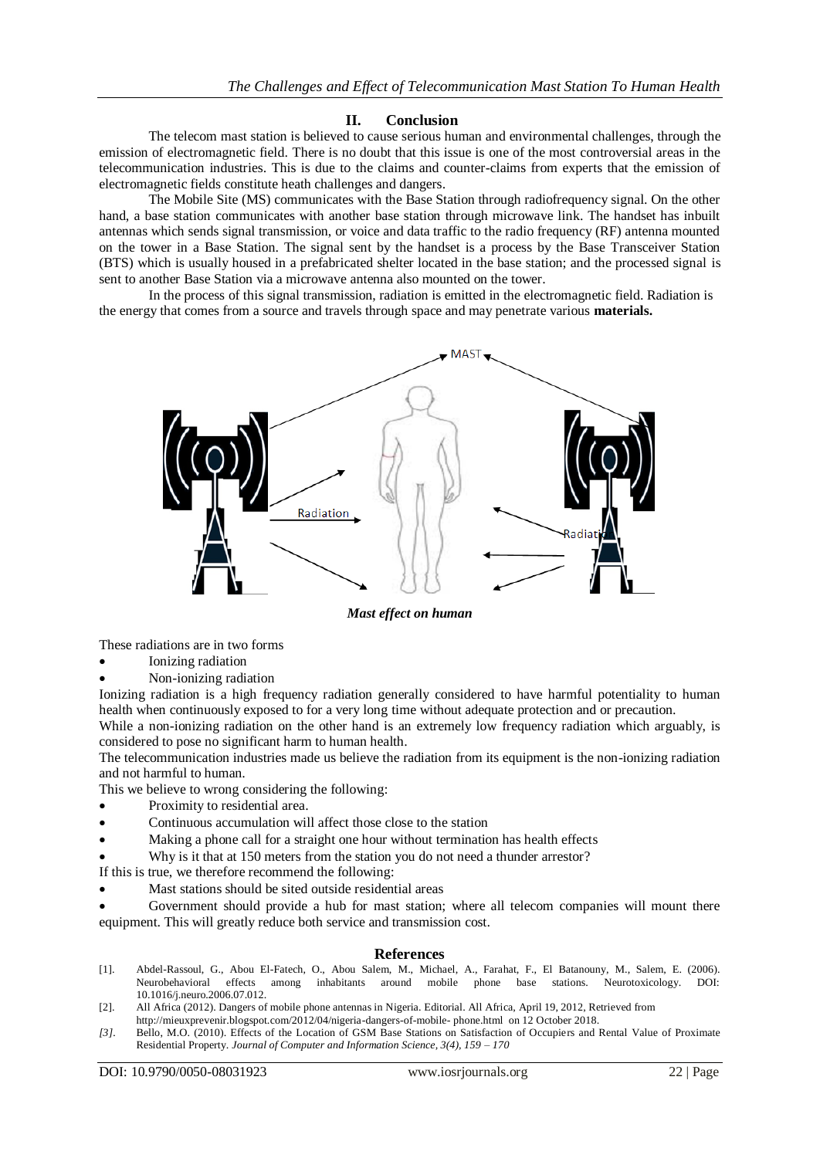# **II. Conclusion**

The telecom mast station is believed to cause serious human and environmental challenges, through the emission of electromagnetic field. There is no doubt that this issue is one of the most controversial areas in the telecommunication industries. This is due to the claims and counter-claims from experts that the emission of electromagnetic fields constitute heath challenges and dangers.

The Mobile Site (MS) communicates with the Base Station through radiofrequency signal. On the other hand, a base station communicates with another base station through microwave link. The handset has inbuilt antennas which sends signal transmission, or voice and data traffic to the radio frequency (RF) antenna mounted on the tower in a Base Station. The signal sent by the handset is a process by the Base Transceiver Station (BTS) which is usually housed in a prefabricated shelter located in the base station; and the processed signal is sent to another Base Station via a microwave antenna also mounted on the tower.

In the process of this signal transmission, radiation is emitted in the electromagnetic field. Radiation is the energy that comes from a source and travels through space and may penetrate various **materials.**



*Mast effect on human*

These radiations are in two forms

- Ionizing radiation
- Non-ionizing radiation

Ionizing radiation is a high frequency radiation generally considered to have harmful potentiality to human health when continuously exposed to for a very long time without adequate protection and or precaution.

While a non-ionizing radiation on the other hand is an extremely low frequency radiation which arguably, is considered to pose no significant harm to human health.

The telecommunication industries made us believe the radiation from its equipment is the non-ionizing radiation and not harmful to human.

This we believe to wrong considering the following:

- Proximity to residential area.
- Continuous accumulation will affect those close to the station
- Making a phone call for a straight one hour without termination has health effects
- Why is it that at 150 meters from the station you do not need a thunder arrestor?

If this is true, we therefore recommend the following:

Mast stations should be sited outside residential areas

 Government should provide a hub for mast station; where all telecom companies will mount there equipment. This will greatly reduce both service and transmission cost.

#### **References**

- [1]. Abdel-Rassoul, G., Abou El-Fatech, O., Abou Salem, M., Michael, A., Farahat, F., El Batanouny, M., Salem, E. (2006). Neurobehavioral effects among inhabitants around mobile phone base stations. Neurotoxicology. DOI: 10.1016/j.neuro.2006.07.012.
- [2]. All Africa (2012). Dangers of mobile phone antennas in Nigeria. Editorial. All Africa, April 19, 2012, Retrieved from
- http://mieuxprevenir.blogspot.com/2012/04/nigeria-dangers-of-mobile- phone.html on 12 October 2018.
- *[3].* Bello, M.O. (2010). Effects of the Location of GSM Base Stations on Satisfaction of Occupiers and Rental Value of Proximate Residential Property. *Journal of Computer and Information Science, 3(4), 159 – 170*